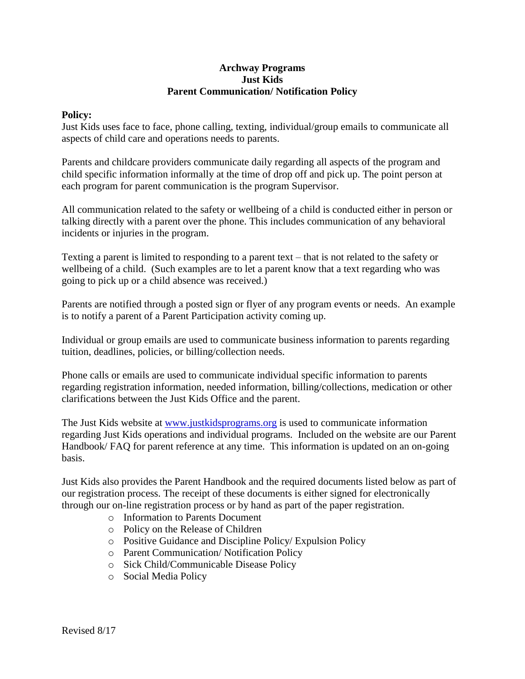## **Archway Programs Just Kids Parent Communication/ Notification Policy**

## **Policy:**

Just Kids uses face to face, phone calling, texting, individual/group emails to communicate all aspects of child care and operations needs to parents.

Parents and childcare providers communicate daily regarding all aspects of the program and child specific information informally at the time of drop off and pick up. The point person at each program for parent communication is the program Supervisor.

All communication related to the safety or wellbeing of a child is conducted either in person or talking directly with a parent over the phone. This includes communication of any behavioral incidents or injuries in the program.

Texting a parent is limited to responding to a parent text – that is not related to the safety or wellbeing of a child. (Such examples are to let a parent know that a text regarding who was going to pick up or a child absence was received.)

Parents are notified through a posted sign or flyer of any program events or needs. An example is to notify a parent of a Parent Participation activity coming up.

Individual or group emails are used to communicate business information to parents regarding tuition, deadlines, policies, or billing/collection needs.

Phone calls or emails are used to communicate individual specific information to parents regarding registration information, needed information, billing/collections, medication or other clarifications between the Just Kids Office and the parent.

The Just Kids website at [www.justkidsprograms.org](http://www.justkidsprograms.org/) is used to communicate information regarding Just Kids operations and individual programs. Included on the website are our Parent Handbook/ FAQ for parent reference at any time. This information is updated on an on-going basis.

Just Kids also provides the Parent Handbook and the required documents listed below as part of our registration process. The receipt of these documents is either signed for electronically through our on-line registration process or by hand as part of the paper registration.

- o Information to Parents Document
- o Policy on the Release of Children
- o Positive Guidance and Discipline Policy/ Expulsion Policy
- o Parent Communication/ Notification Policy
- o Sick Child/Communicable Disease Policy
- o Social Media Policy